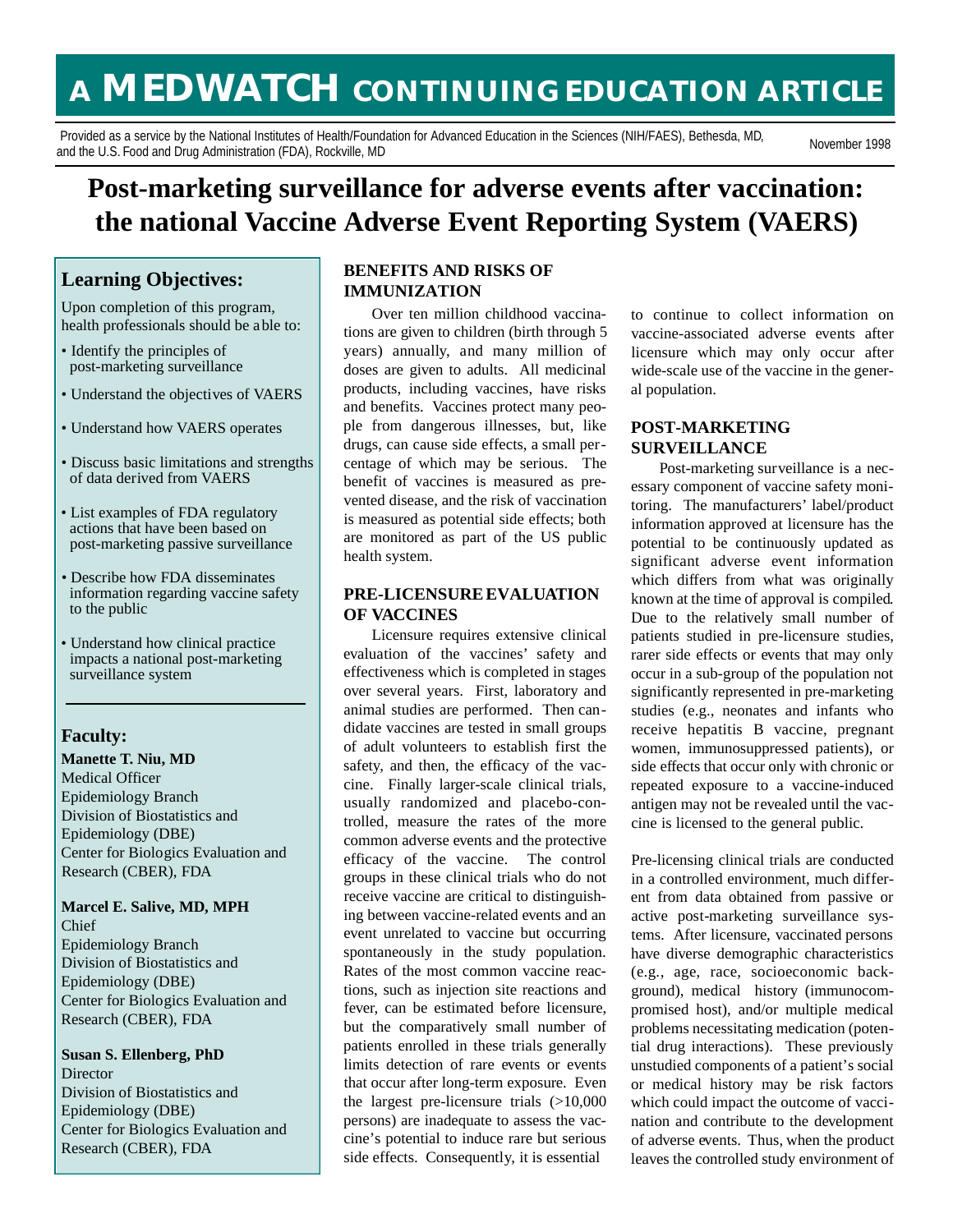# **A MEDWATCH CONTINUING EDUCATION ARTICLE**

Provided as a service by the National Institutes of Health/Foundation for Advanced Education in the Sciences (NIH/FAES), Bethesda, MD, and the U.S. Food and Drug Administration (FDA), Rockville, MD

November 1998

## **Post-marketing surveillance for adverse events after vaccination: the national Vaccine Adverse Event Reporting System (VAERS)**

## **Learning Objectives:**

Upon completion of this program, health professionals should be able to:

- Identify the principles of post-marketing surveillance
- Understand the objectives of VAERS
- Understand how VAERS operates
- Discuss basic limitations and strengths of data derived from VAERS
- List examples of FDA regulatory actions that have been based on post-marketing passive surveillance
- Describe how FDA disseminates information regarding vaccine safety to the public
- Understand how clinical practice impacts a national post-marketing surveillance system

## **Faculty:**

**Manette T. Niu, MD** Medical Officer Epidemiology Branch Division of Biostatistics and Epidemiology (DBE) Center for Biologics Evaluation and Research (CBER), FDA

**Marcel E. Salive, MD, MPH** Chief Epidemiology Branch Division of Biostatistics and Epidemiology (DBE) Center for Biologics Evaluation and Research (CBER), FDA

## **Susan S. Ellenberg, PhD** Director Division of Biostatistics and Epidemiology (DBE) Center for Biologics Evaluation and Research (CBER), FDA

## **BENEFITS AND RISKS OF IMMUNIZATION**

Over ten million childhood vaccinations are given to children (birth through 5 years) annually, and many million of doses are given to adults. All medicinal products, including vaccines, have risks and benefits. Vaccines protect many people from dangerous illnesses, but, like drugs, can cause side effects, a small percentage of which may be serious. The benefit of vaccines is measured as prevented disease, and the risk of vaccination is measured as potential side effects; both are monitored as part of the US public health system.

## **PRE-LICENSURE EVALUATION OF VACCINES**

Licensure requires extensive clinical evaluation of the vaccines' safety and effectiveness which is completed in stages over several years. First, laboratory and animal studies are performed. Then candidate vaccines are tested in small groups of adult volunteers to establish first the safety, and then, the efficacy of the vaccine. Finally larger-scale clinical trials, usually randomized and placebo-controlled, measure the rates of the more common adverse events and the protective efficacy of the vaccine. The control groups in these clinical trials who do not receive vaccine are critical to distinguishing between vaccine-related events and an event unrelated to vaccine but occurring spontaneously in the study population. Rates of the most common vaccine reactions, such as injection site reactions and fever, can be estimated before licensure, but the comparatively small number of patients enrolled in these trials generally limits detection of rare events or events that occur after long-term exposure. Even the largest pre-licensure trials (>10,000 persons) are inadequate to assess the vaccine's potential to induce rare but serious side effects. Consequently, it is essential

to continue to collect information on vaccine-associated adverse events after licensure which may only occur after wide-scale use of the vaccine in the general population.

## **POST-MARKETING SURVEILLANCE**

Post-marketing surveillance is a necessary component of vaccine safety monitoring. The manufacturers' label/product information approved at licensure has the potential to be continuously updated as significant adverse event information which differs from what was originally known at the time of approval is compiled. Due to the relatively small number of patients studied in pre-licensure studies, rarer side effects or events that may only occur in a sub-group of the population not significantly represented in pre-marketing studies (e.g., neonates and infants who receive hepatitis B vaccine, pregnant women, immunosuppressed patients), or side effects that occur only with chronic or repeated exposure to a vaccine-induced antigen may not be revealed until the vaccine is licensed to the general public.

Pre-licensing clinical trials are conducted in a controlled environment, much different from data obtained from passive or active post-marketing surveillance systems. After licensure, vaccinated persons have diverse demographic characteristics (e.g., age, race, socioeconomic background), medical history (immunocompromised host), and/or multiple medical problems necessitating medication (potential drug interactions). These previously unstudied components of a patient's social or medical history may be risk factors which could impact the outcome of vaccination and contribute to the development of adverse events. Thus, when the product leaves the controlled study environment of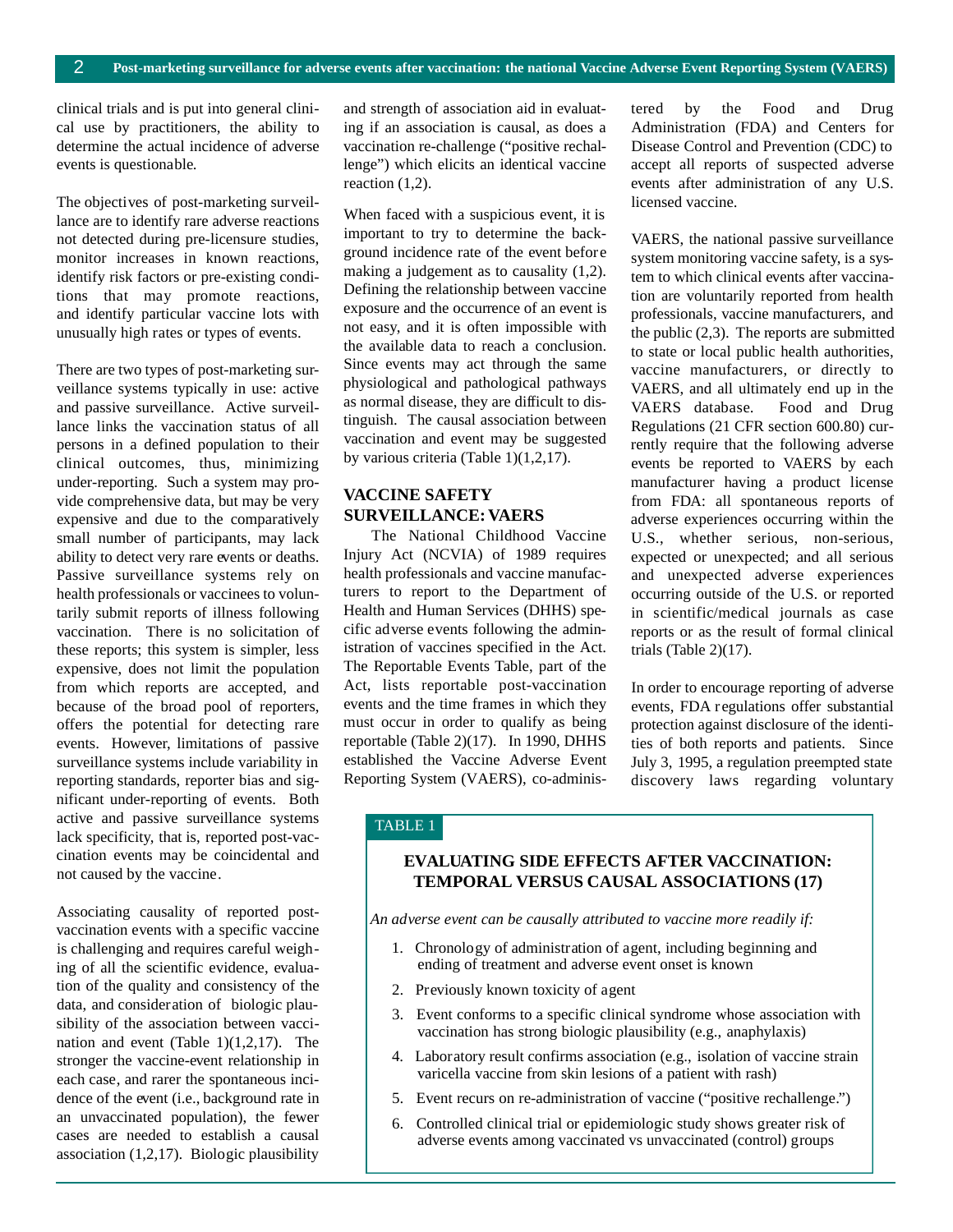clinical trials and is put into general clinical use by practitioners, the ability to determine the actual incidence of adverse events is questionable.

The objectives of post-marketing surveillance are to identify rare adverse reactions not detected during pre-licensure studies, monitor increases in known reactions, identify risk factors or pre-existing conditions that may promote reactions, and identify particular vaccine lots with unusually high rates or types of events.

There are two types of post-marketing surveillance systems typically in use: active and passive surveillance. Active surveillance links the vaccination status of all persons in a defined population to their clinical outcomes, thus, minimizing under-reporting. Such a system may provide comprehensive data, but may be very expensive and due to the comparatively small number of participants, may lack ability to detect very rare events or deaths. Passive surveillance systems rely on health professionals or vaccinees to voluntarily submit reports of illness following vaccination. There is no solicitation of these reports; this system is simpler, less expensive, does not limit the population from which reports are accepted, and because of the broad pool of reporters, offers the potential for detecting rare events. However, limitations of passive surveillance systems include variability in reporting standards, reporter bias and significant under-reporting of events. Both active and passive surveillance systems lack specificity, that is, reported post-vaccination events may be coincidental and not caused by the vaccine.

Associating causality of reported postvaccination events with a specific vaccine is challenging and requires careful weighing of all the scientific evidence, evaluation of the quality and consistency of the data, and consideration of biologic plausibility of the association between vaccination and event (Table  $1(1,2,17)$ ). The stronger the vaccine-event relationship in each case, and rarer the spontaneous incidence of the event (i.e., background rate in an unvaccinated population), the fewer cases are needed to establish a causal association (1,2,17). Biologic plausibility

and strength of association aid in evaluating if an association is causal, as does a vaccination re-challenge ("positive rechallenge") which elicits an identical vaccine reaction (1,2).

When faced with a suspicious event, it is important to try to determine the background incidence rate of the event before making a judgement as to causality (1,2). Defining the relationship between vaccine exposure and the occurrence of an event is not easy, and it is often impossible with the available data to reach a conclusion. Since events may act through the same physiological and pathological pathways as normal disease, they are difficult to distinguish. The causal association between vaccination and event may be suggested by various criteria (Table 1)(1,2,17).

## **VACCINE SAFETY SURVEILLANCE: VAERS**

The National Childhood Vaccine Injury Act (NCVIA) of 1989 requires health professionals and vaccine manufacturers to report to the Department of Health and Human Services (DHHS) specific adverse events following the administration of vaccines specified in the Act. The Reportable Events Table, part of the Act, lists reportable post-vaccination events and the time frames in which they must occur in order to qualify as being reportable (Table 2)(17). In 1990, DHHS established the Vaccine Adverse Event Reporting System (VAERS), co-administered by the Food and Drug Administration (FDA) and Centers for Disease Control and Prevention (CDC) to accept all reports of suspected adverse events after administration of any U.S. licensed vaccine.

VAERS, the national passive surveillance system monitoring vaccine safety, is a system to which clinical events after vaccination are voluntarily reported from health professionals, vaccine manufacturers, and the public (2,3). The reports are submitted to state or local public health authorities, vaccine manufacturers, or directly to VAERS, and all ultimately end up in the VAERS database. Food and Drug Regulations (21 CFR section 600.80) currently require that the following adverse events be reported to VAERS by each manufacturer having a product license from FDA: all spontaneous reports of adverse experiences occurring within the U.S., whether serious, non-serious, expected or unexpected; and all serious and unexpected adverse experiences occurring outside of the U.S. or reported in scientific/medical journals as case reports or as the result of formal clinical trials (Table 2)(17).

In order to encourage reporting of adverse events, FDA regulations offer substantial protection against disclosure of the identities of both reports and patients. Since July 3, 1995, a regulation preempted state discovery laws regarding voluntary

#### TABLE 1

## **EVALUATING SIDE EFFECTS AFTER VACCINATION: TEMPORAL VERSUS CAUSAL ASSOCIATIONS (17)**

*An adverse event can be causally attributed to vaccine more readily if:*

- 1. Chronology of administration of agent, including beginning and ending of treatment and adverse event onset is known
- 2. Previously known toxicity of agent
- 3. Event conforms to a specific clinical syndrome whose association with vaccination has strong biologic plausibility (e.g., anaphylaxis)
- 4. Laboratory result confirms association (e.g., isolation of vaccine strain varicella vaccine from skin lesions of a patient with rash)
- 5. Event recurs on re-administration of vaccine ("positive rechallenge.")
- 6. Controlled clinical trial or epidemiologic study shows greater risk of adverse events among vaccinated vs unvaccinated (control) groups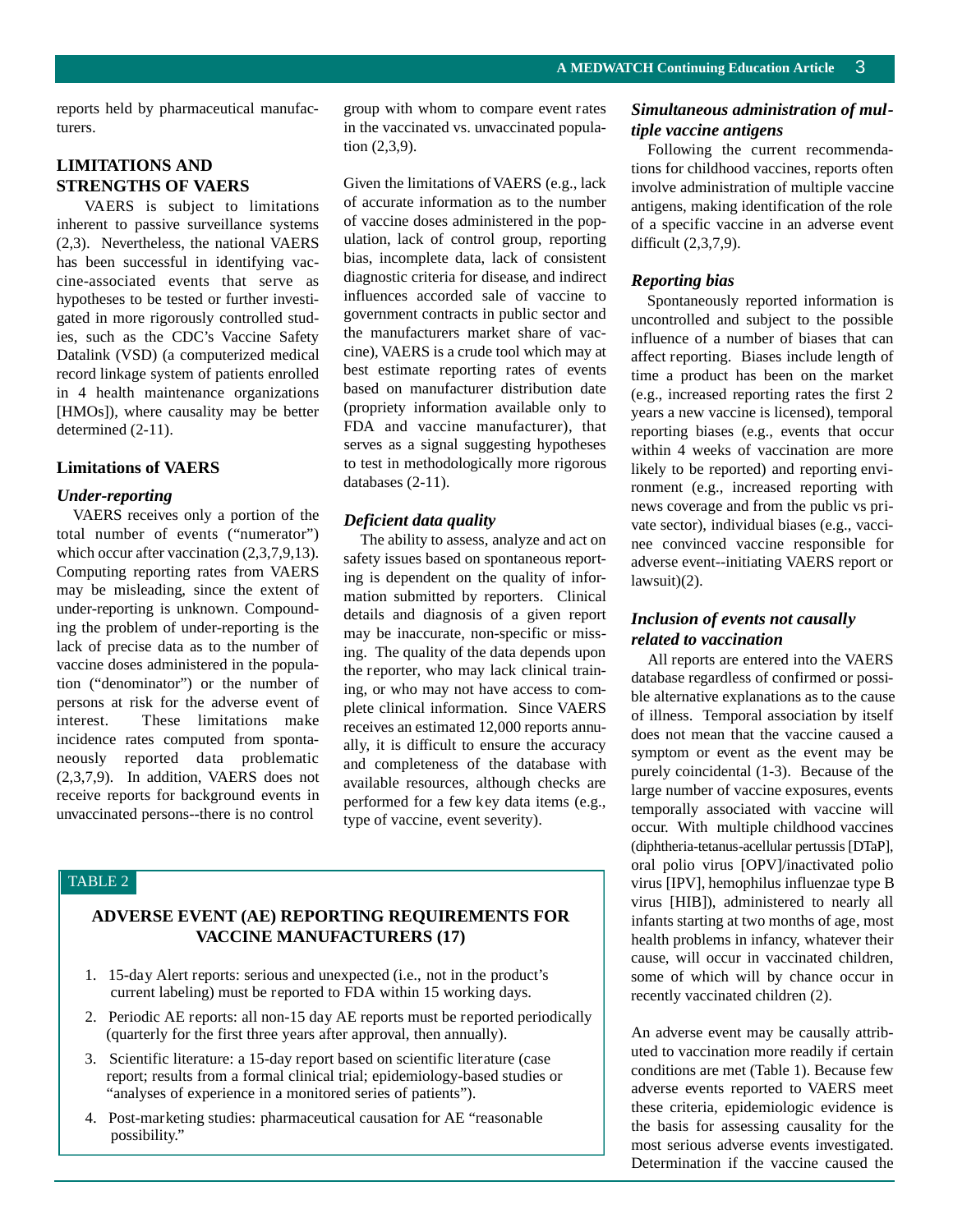reports held by pharmaceutical manufacturers.

## **LIMITATIONS AND STRENGTHS OF VAERS**

VAERS is subject to limitations inherent to passive surveillance systems (2,3). Nevertheless, the national VAERS has been successful in identifying vaccine-associated events that serve as hypotheses to be tested or further investigated in more rigorously controlled studies, such as the CDC's Vaccine Safety Datalink (VSD) (a computerized medical record linkage system of patients enrolled in 4 health maintenance organizations [HMOs]), where causality may be better determined (2-11).

#### **Limitations of VAERS**

#### *Under-reporting*

VAERS receives only a portion of the total number of events ("numerator") which occur after vaccination  $(2,3,7,9,13)$ . Computing reporting rates from VAERS may be misleading, since the extent of under-reporting is unknown. Compounding the problem of under-reporting is the lack of precise data as to the number of vaccine doses administered in the population ("denominator") or the number of persons at risk for the adverse event of interest. These limitations make incidence rates computed from spontaneously reported data problematic (2,3,7,9). In addition, VAERS does not receive reports for background events in unvaccinated persons--there is no control

group with whom to compare event rates in the vaccinated vs. unvaccinated population (2,3,9).

Given the limitations of VAERS (e.g., lack of accurate information as to the number of vaccine doses administered in the population, lack of control group, reporting bias, incomplete data, lack of consistent diagnostic criteria for disease, and indirect influences accorded sale of vaccine to government contracts in public sector and the manufacturers market share of vaccine), VAERS is a crude tool which may at best estimate reporting rates of events based on manufacturer distribution date (propriety information available only to FDA and vaccine manufacturer), that serves as a signal suggesting hypotheses to test in methodologically more rigorous databases (2-11).

#### *Deficient data quality*

The ability to assess, analyze and act on safety issues based on spontaneous reporting is dependent on the quality of information submitted by reporters. Clinical details and diagnosis of a given report may be inaccurate, non-specific or missing. The quality of the data depends upon the reporter, who may lack clinical training, or who may not have access to complete clinical information. Since VAERS receives an estimated 12,000 reports annually, it is difficult to ensure the accuracy and completeness of the database with available resources, although checks are performed for a few key data items (e.g., type of vaccine, event severity).

## TABLE 2

## **ADVERSE EVENT (AE) REPORTING REQUIREMENTS FOR VACCINE MANUFACTURERS (17)**

- 1. 15-day Alert reports: serious and unexpected (i.e., not in the product's current labeling) must be reported to FDA within 15 working days.
- 2. Periodic AE reports: all non-15 day AE reports must be reported periodically (quarterly for the first three years after approval, then annually).
- 3. Scientific literature: a 15-day report based on scientific literature (case report; results from a formal clinical trial; epidemiology-based studies or "analyses of experience in a monitored series of patients").
- 4. Post-marketing studies: pharmaceutical causation for AE "reasonable possibility."

## *Simultaneous administration of multiple vaccine antigens*

Following the current recommendations for childhood vaccines, reports often involve administration of multiple vaccine antigens, making identification of the role of a specific vaccine in an adverse event difficult (2,3,7,9).

#### *Reporting bias*

Spontaneously reported information is uncontrolled and subject to the possible influence of a number of biases that can affect reporting. Biases include length of time a product has been on the market (e.g., increased reporting rates the first 2 years a new vaccine is licensed), temporal reporting biases (e.g., events that occur within 4 weeks of vaccination are more likely to be reported) and reporting environment (e.g., increased reporting with news coverage and from the public vs private sector), individual biases (e.g., vaccinee convinced vaccine responsible for adverse event--initiating VAERS report or lawsuit)(2).

## *Inclusion of events not causally related to vaccination*

All reports are entered into the VAERS database regardless of confirmed or possible alternative explanations as to the cause of illness. Temporal association by itself does not mean that the vaccine caused a symptom or event as the event may be purely coincidental (1-3). Because of the large number of vaccine exposures, events temporally associated with vaccine will occur. With multiple childhood vaccines ( diphtheria-tetanus-acellular pertussis [DTaP], oral polio virus [OPV]/inactivated polio virus [IPV], hemophilus influenzae type B virus [HIB]), administered to nearly all infants starting at two months of age, most health problems in infancy, whatever their cause, will occur in vaccinated children, some of which will by chance occur in recently vaccinated children (2).

An adverse event may be causally attributed to vaccination more readily if certain conditions are met (Table 1). Because few adverse events reported to VAERS meet these criteria, epidemiologic evidence is the basis for assessing causality for the most serious adverse events investigated. Determination if the vaccine caused the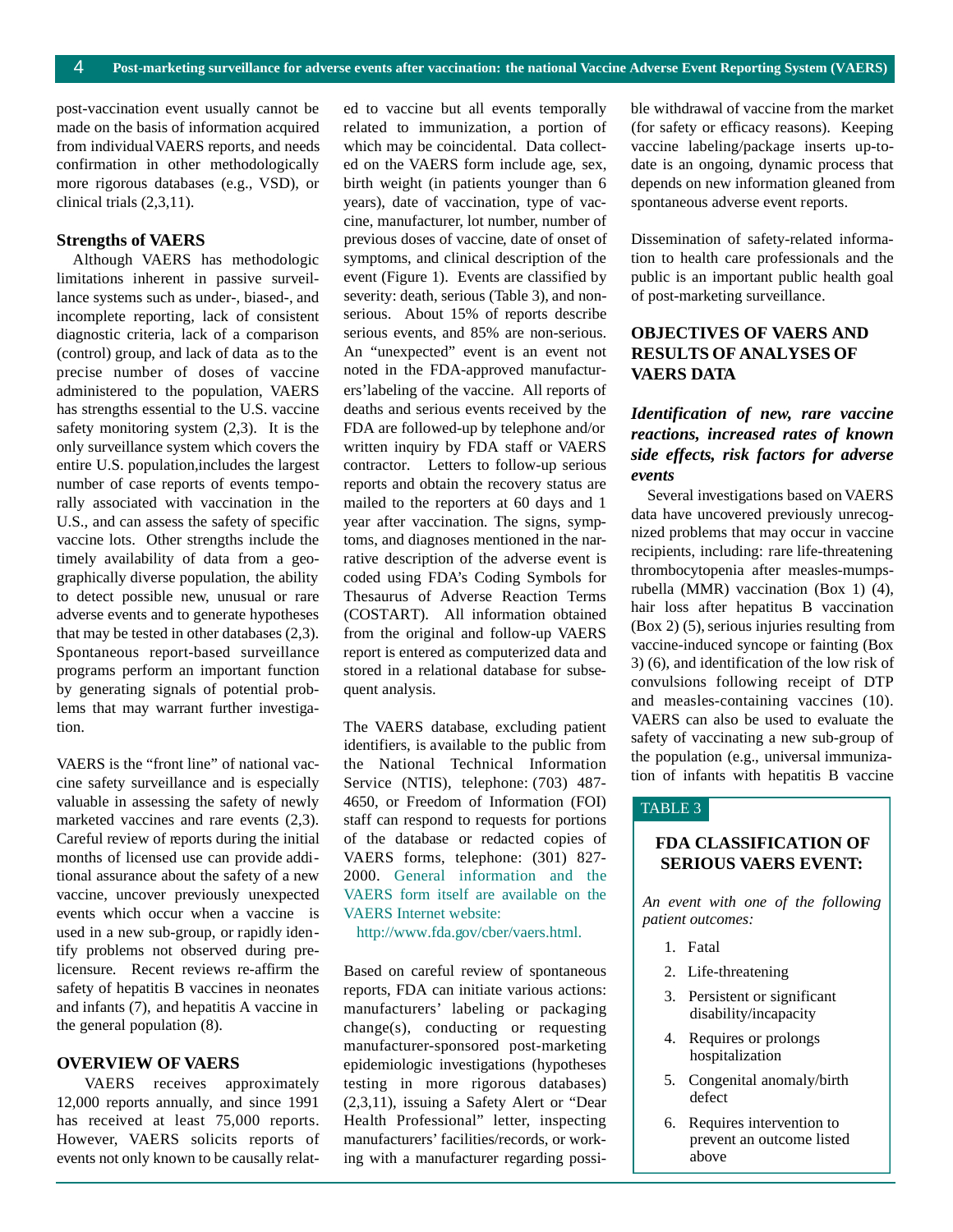post-vaccination event usually cannot be made on the basis of information acquired from individual VAERS reports, and needs confirmation in other methodologically more rigorous databases (e.g., VSD), or clinical trials (2,3,11).

#### **Strengths of VAERS**

Although VAERS has methodologic limitations inherent in passive surveillance systems such as under-, biased-, and incomplete reporting, lack of consistent diagnostic criteria, lack of a comparison (control) group, and lack of data as to the precise number of doses of vaccine administered to the population, VAERS has strengths essential to the U.S. vaccine safety monitoring system (2,3). It is the only surveillance system which covers the entire U.S. population,includes the largest number of case reports of events temporally associated with vaccination in the U.S., and can assess the safety of specific vaccine lots. Other strengths include the timely availability of data from a geographically diverse population, the ability to detect possible new, unusual or rare adverse events and to generate hypotheses that may be tested in other databases (2,3). Spontaneous report-based surveillance programs perform an important function by generating signals of potential problems that may warrant further investigation.

VAERS is the "front line" of national vaccine safety surveillance and is especially valuable in assessing the safety of newly marketed vaccines and rare events (2,3). Careful review of reports during the initial months of licensed use can provide additional assurance about the safety of a new vaccine, uncover previously unexpected events which occur when a vaccine is used in a new sub-group, or rapidly identify problems not observed during prelicensure. Recent reviews re-affirm the safety of hepatitis B vaccines in neonates and infants (7), and hepatitis A vaccine in the general population (8).

#### **OVERVIEW OF VAERS**

VAERS receives approximately 12,000 reports annually, and since 1991 has received at least 75,000 reports. However, VAERS solicits reports of events not only known to be causally related to vaccine but all events temporally related to immunization, a portion of which may be coincidental. Data collected on the VAERS form include age, sex, birth weight (in patients younger than 6 years), date of vaccination, type of vaccine, manufacturer, lot number, number of previous doses of vaccine, date of onset of symptoms, and clinical description of the event (Figure 1). Events are classified by severity: death, serious (Table 3), and nonserious. About 15% of reports describe serious events, and 85% are non-serious. An "unexpected" event is an event not noted in the FDA-approved manufacturers'labeling of the vaccine. All reports of deaths and serious events received by the FDA are followed-up by telephone and/or written inquiry by FDA staff or VAERS contractor. Letters to follow-up serious reports and obtain the recovery status are mailed to the reporters at 60 days and 1 year after vaccination. The signs, symptoms, and diagnoses mentioned in the narrative description of the adverse event is coded using FDA's Coding Symbols for The saurus of Adverse Reaction Terms (COSTART). All information obtained from the original and follow-up VAERS report is entered as computerized data and stored in a relational database for subsequent analysis.

The VAERS database, excluding patient identifiers, is available to the public from the National Technical Information Service (NTIS), telephone: (703) 487-4650, or Freedom of Information (FOI) staff can respond to requests for portions of the database or redacted copies of VAERS forms, telephone: (301) 827-2000. General information and the VAERS form itself are available on the VAERS Internet website:

http://www.fda.gov/cber/vaers.html.

Based on careful review of spontaneous reports, FDA can initiate various actions: manufacturers' labeling or packaging  $change(s)$ , conducting or requesting manufacturer-sponsored post-marketing epidemiologic investigations (hypotheses testing in more rigorous databases) (2,3,11), issuing a Safety Alert or "Dear Health Professional" letter, inspecting manufacturers' facilities/records, or working with a manufacturer regarding possible withdrawal of vaccine from the market (for safety or efficacy reasons). Keeping vaccine labeling/package inserts up-todate is an ongoing, dynamic process that depends on new information gleaned from spontaneous adverse event reports.

Dissemination of safety-related information to health care professionals and the public is an important public health goal of post-marketing surveillance.

## **OBJECTIVES OF VAERS AND RESULTS OF ANALYSES OF VAERS DATA**

## *Identification of new, rare vaccine reactions, increased rates of known side effects, risk factors for adverse events*

Several investigations based on VAERS data have uncovered previously unrecognized problems that may occur in vaccine recipients, including: rare life-threatening thrombocytopenia after measles-mumpsrubella (MMR) vaccination (Box 1) (4), hair loss after hepatitus B vaccination  $(Box 2)$  (5), serious injuries resulting from vaccine-induced syncope or fainting (Box 3) (6), and identification of the low risk of convulsions following receipt of DTP and measles-containing vaccines (10). VAERS can also be used to evaluate the safety of vaccinating a new sub-group of the population (e.g., universal immunization of infants with hepatitis B vaccine

## TABLE 3

## **FDA CLASSIFICATION OF SERIOUS VAERS EVENT:**

*An event with one of the following patient outcomes:*

- 1. Fatal
- 2. Life-threatening
- 3. Persistent or significant disability/incapacity
- 4. Requires or prolongs hospitalization
- 5. Congenital anomaly/birth defect
- 6. Requires intervention to prevent an outcome listed above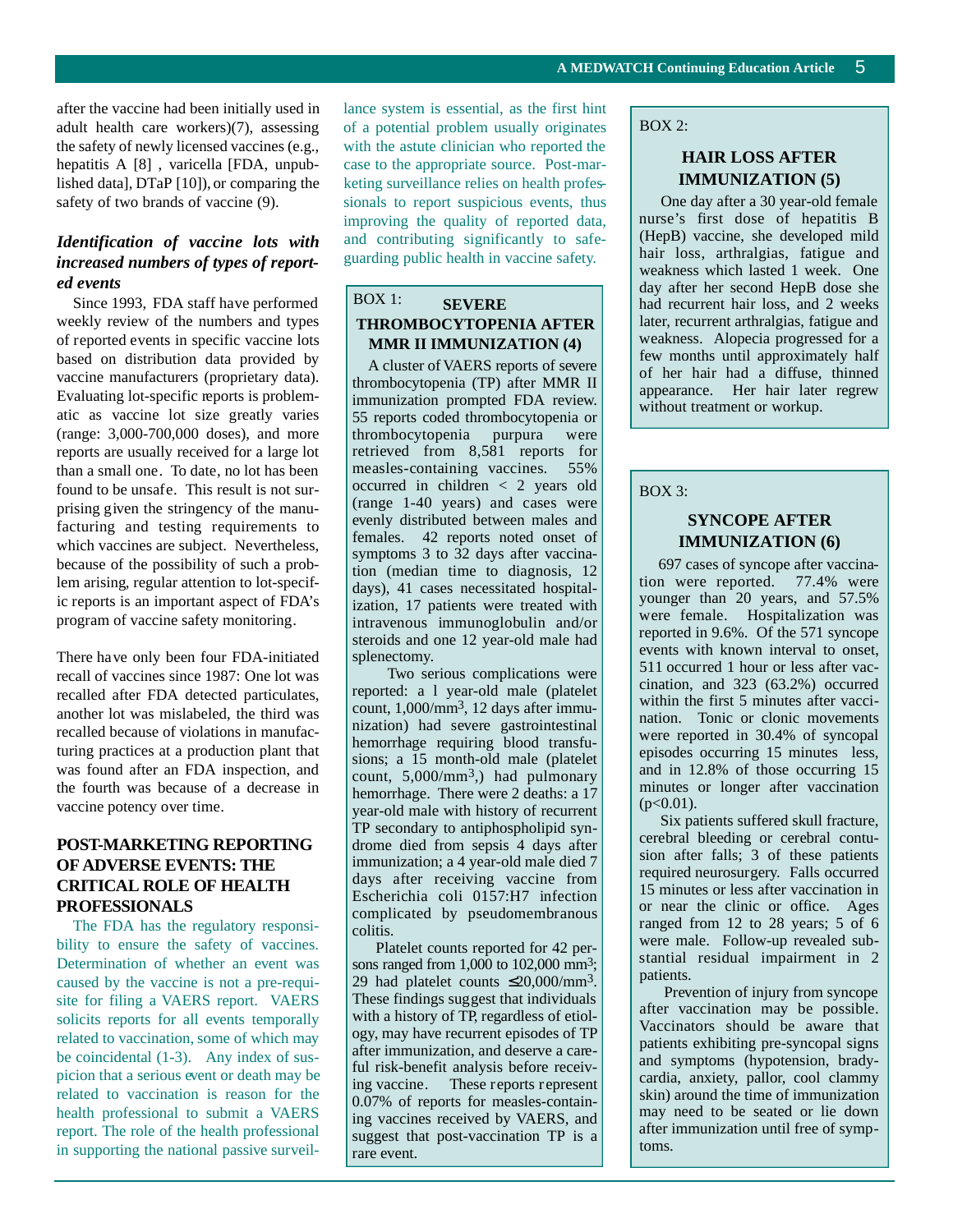after the vaccine had been initially used in adult health care workers)(7), assessing the safety of newly licensed vaccines (e.g., hepatitis A [8] , varicella [FDA, unpublished data], DTaP [10]), or comparing the safety of two brands of vaccine (9).

## *Identification of vaccine lots with increased numbers of types of reported events*

Since 1993, FDA staff have performed weekly review of the numbers and types of reported events in specific vaccine lots based on distribution data provided by vaccine manufacturers (proprietary data). Evaluating lot-specific reports is problematic as vaccine lot size greatly varies (range: 3,000-700,000 doses), and more reports are usually received for a large lot than a small one. To date, no lot has been found to be unsafe. This result is not surprising given the stringency of the manufacturing and testing requirements to which vaccines are subject. Nevertheless, because of the possibility of such a problem arising, regular attention to lot-specific reports is an important aspect of FDA's program of vaccine safety monitoring.

There have only been four FDA-initiated recall of vaccines since 1987: One lot was recalled after FDA detected particulates, another lot was mislabeled, the third was recalled because of violations in manufacturing practices at a production plant that was found after an FDA inspection, and the fourth was because of a decrease in vaccine potency over time.

## **POST-MARKETING REPORTING OF ADVERSE EVENTS: THE CRITICAL ROLE OF HEALTH PROFESSIONALS**

The FDA has the regulatory responsibility to ensure the safety of vaccines. Determination of whether an event was caused by the vaccine is not a pre-requisite for filing a VAERS report. VAERS solicits reports for all events temporally related to vaccination, some of which may be coincidental (1-3). Any index of suspicion that a serious event or death may be related to vaccination is reason for the health professional to submit a VAERS report. The role of the health professional in supporting the national passive surveillance system is essential, as the first hint of a potential problem usually originates with the astute clinician who reported the case to the appropriate source. Post-marketing surveillance relies on health professionals to report suspicious events, thus improving the quality of reported data, and contributing significantly to safeguarding public health in vaccine safety.

## BOX 1: **SEVERE THROMBOCYTOPENIA AFTER MMR II IMMUNIZATION (4)**

A cluster of VAERS reports of severe thrombocytopenia (TP) after MMR II immunization prompted FDA review. 55 reports coded thrombocytopenia or thrombocytopenia purpura were retrieved from  $8,581$  reports for measles-containing vaccines. 55% occurred in children < 2 years old  $(range<sub>1-40</sub> years) and cases were$ evenly distributed between males and females. 42 reports noted onset of symptoms 3 to 32 days after vaccination (median time to diagnosis,  $12$ days), 41 cases necessitated hospitalization, 17 patients were treated with intravenous immunoglobulin and/or steroids and one 12 year-old male had splenectomy.

Two serious complications were reported: a l year-old male (platelet count, 1,000/mm3, 12 days after immunization) had severe gastrointestinal he morrhage requiring blood transfusions; a 15 month-old male (platelet count,  $5,000/mm^3$ , had pulmonary hemorrhage. There were 2 deaths: a 17 year-old male with history of recurrent TP secondary to antiphospholipid syndrome died from sepsis 4 days after immunization; a 4 year-old male died 7 days after receiving vaccine from Escherichia coli 0157:H7 infection complicated by pseudomembranous colitis.

Platelet counts reported for 42 persons ranged from 1,000 to 102,000 mm<sup>3</sup>; 29 had platelet counts  $\leq 20,000/\text{mm}^3$ . These findings suggest that individuals with a history of TP, regardless of etiology, may have recurrent episodes of TP after immunization, and deserve a careful risk-benefit analysis before receiving vaccine. These reports r epresent 0.07% of reports for measles-containing vaccines received by VAERS, and suggest that post-vaccination TP is a rare event.

 $\overline{BOX}$  2:

## **HAIR LOSS AFTER IMMUNIZATION (5)**

One day after a 30 year-old female nurse's first dose of hepatitis B (HepB) vaccine, she developed mild hair loss, arthralgias, fatigue and weakness which lasted 1 week. One day after her second HepB dose she had recurrent hair loss, and 2 weeks later, recurrent arthralgias, fatigue and weakness. Alopecia progressed for a few months until approximately half of her hair had a diffuse, thinned appearance. Her hair later regrew without treatment or workup.

#### $BOX$  3:

## **SYNCOPE AFTER IMMUNIZATION (6)**

697 cases of syncope after vaccination were reported. 77.4% were younger than 20 years, and 57.5% were female. Hospitalization was reported in 9.6%. Of the 571 syncope events with known interval to onset, 511 occurred 1 hour or less after vaccination, and 323 (63.2%) occurred within the first 5 minutes after vaccination. Tonic or clonic movements were reported in 30.4% of syncopal episodes occurring 15 minutes less, and in 12.8% of those occurring 15 minutes or longer after vaccination  $(p<0.01)$ .

Six patients suffered skull fracture, cerebral bleeding or cerebral contusion after falls; 3 of these patients required neurosurgery. Falls occurred 15 minutes or less after vaccination in or near the clinic or office. Ages ranged from 12 to 28 years; 5 of 6 were male. Follow-up revealed substantial residual impairment in 2 patients.

Prevention of injury from syncope after vaccination may be possible. Vaccinators should be aware that patients exhibiting pre-syncopal signs and symptoms (hypotension, bradycardia, anxiety, pallor, cool clammy skin) around the time of immunization may need to be seated or lie down after immunization until free of symptoms.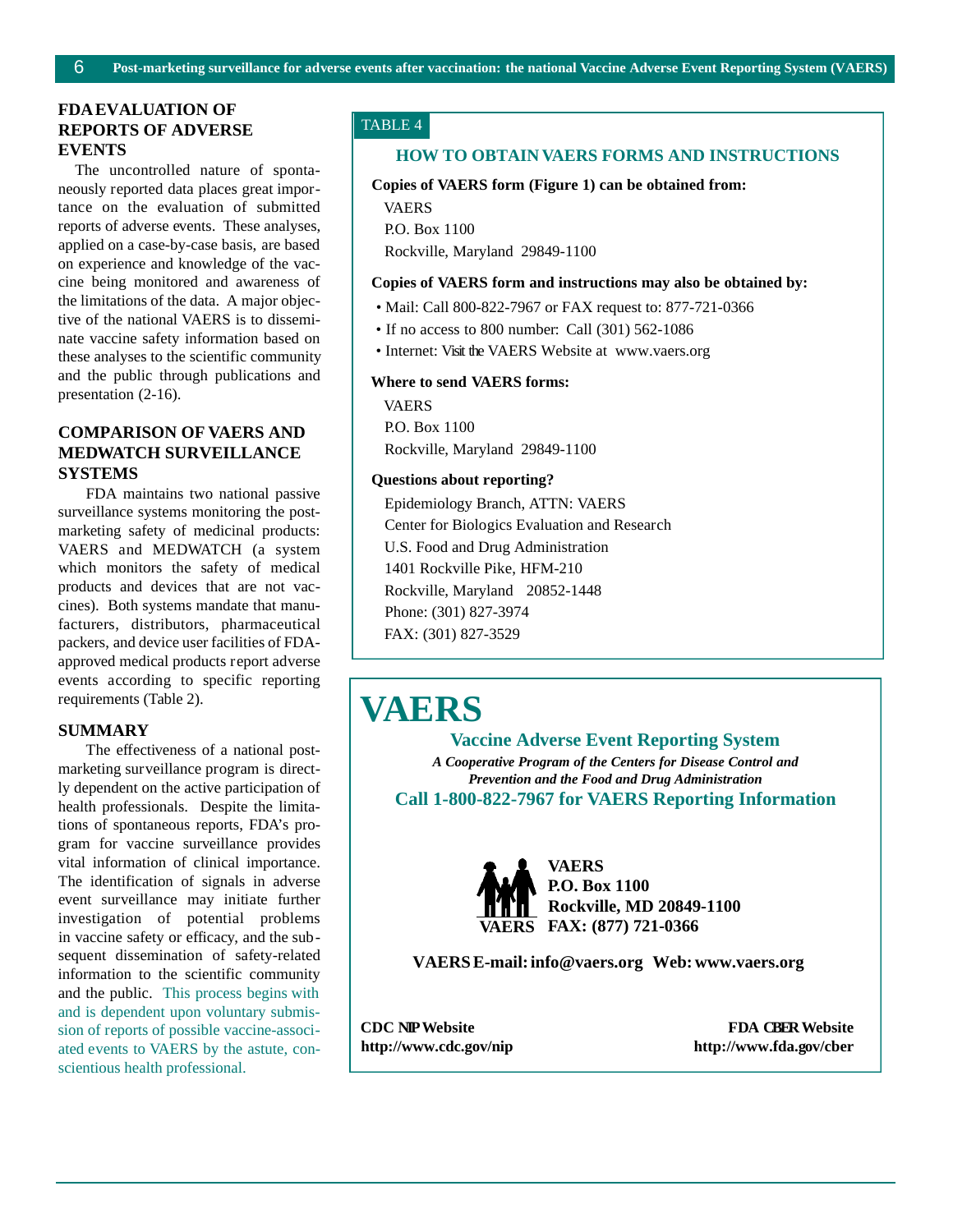## **FDA EVALUATION OF REPORTS OF ADVERSE EVENTS**

The uncontrolled nature of spontaneously reported data places great importance on the evaluation of submitted reports of adverse events. These analyses, applied on a case-by-case basis, are based on experience and knowledge of the vaccine being monitored and awareness of the limitations of the data. A major objective of the national VAERS is to disseminate vaccine safety information based on these analyses to the scientific community and the public through publications and presentation (2-16).

## **COMPARISON OF VAERS AND MEDWATCH SURVEILLANCE SYSTEMS**

FDA maintains two national passive surveillance systems monitoring the postmarketing safety of medicinal products: VAERS and MEDWATCH (a system which monitors the safety of medical products and devices that are not vaccines). Both systems mandate that manufacturers, distributors, pharmaceutical packers, and device user facilities of FDAapproved medical products report adverse events according to specific reporting requirements (Table 2).

#### **SUMMARY**

The effectiveness of a national postmarketing surveillance program is directly dependent on the active participation of health professionals. Despite the limitations of spontaneous reports, FDA's program for vaccine surveillance provides vital information of clinical importance. The identification of signals in adverse event surveillance may initiate further investigation of potential problems in vaccine safety or efficacy, and the subsequent dissemination of safety-related information to the scientific community and the public. This process begins with and is dependent upon voluntary submission of reports of possible vaccine-associated events to VAERS by the astute, conscientious health professional.

## TABLE 4

#### **HOW TO OBTAIN VAERS FORMS AND INSTRUCTIONS**

#### **Copies of VAERS form (Figure 1) can be obtained from:**

VAERS

P.O. Box 1100

Rockville, Maryland 29849-1100

#### **Copies of VAERS form and instructions may also be obtained by:**

- Mail: Call 800-822-7967 or FAX request to: 877-721-0366
- If no access to 800 number: Call (301) 562-1086
- Internet: Visit the VAERS Web[site at www.vaer](http://www.vaers.org)s.org

#### **Where to send VAERS forms:**

VAERS P.O. Box 1100 Rockville, Maryland 29849-1100

#### **Questions about reporting?**

Epidemiology Branch, ATTN: VAERS Center for Biologics Evaluation and Research U.S. Food and Drug Administration 1401 Rockville Pike, HFM-210 Rockville, Maryland 20852-1448 Phone: (301) 827-3974 FAX: (301) 827-3529

## **VAERS**

### **Vaccine Adverse Event Reporting System**

*A Cooperative Program of the Centers for Disease Control and Prevention and the Food and Drug Administration* **Call 1-800-822-7967 for VAERS Reporting Information**



**VAERS P.O. Box 1100 Rockville, MD 20849-1100 VAERS FAX: (877) 721-0366**

**VAERS E-mail: info@vaers.org Web: [www.vaers.org](http://www.vaers.org)**

**CDC NIPWebsite [http://www.cdc.gov/nip](http://www.cdc.nip)**

**FDA CBERWebsite <http://www.fda.gov/cber>**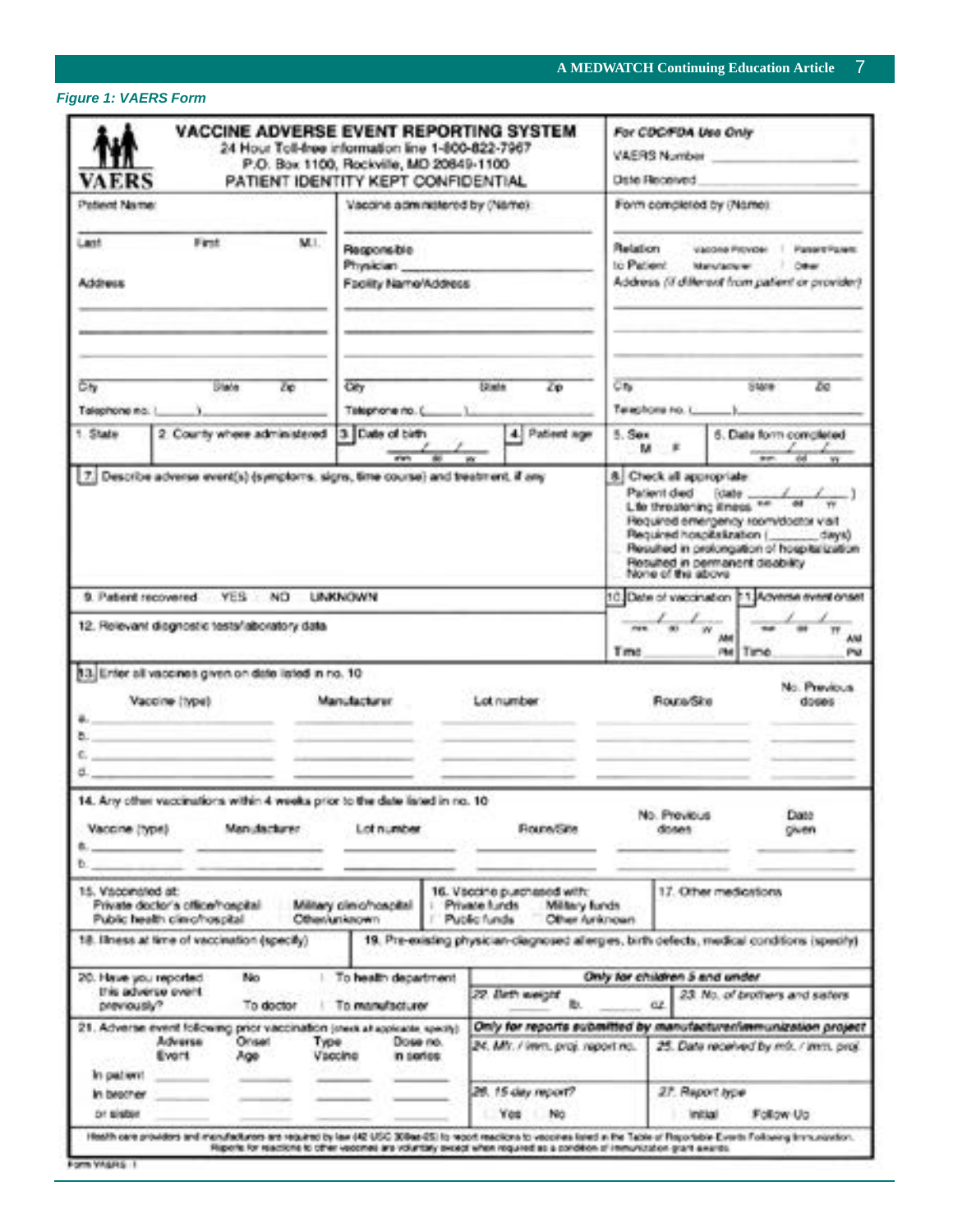## **Figure 1: VAERS Form**

| <b>VACCINE ADVERSE EVENT REPORTING SYSTEM</b><br>VAERS                                                                    | 24 Hour Toll-free information line 1-800-822-7967<br>P.O. Box 1100. Rockville, MD 20849-1100<br>PATIENT IDENTITY KEPT CONFIDENTIAL |                                                                                                    | For COCADA Das Only<br>VAERS Number<br><b>Dete Recoverd</b>                                    |                                                                                                                                                                                  |
|---------------------------------------------------------------------------------------------------------------------------|------------------------------------------------------------------------------------------------------------------------------------|----------------------------------------------------------------------------------------------------|------------------------------------------------------------------------------------------------|----------------------------------------------------------------------------------------------------------------------------------------------------------------------------------|
| <b>Patient Name:</b>                                                                                                      | Vaccina administered by Pasmok                                                                                                     |                                                                                                    | Form completed by Plamet                                                                       |                                                                                                                                                                                  |
| <b>First</b><br>M.L.<br>Last                                                                                              | Report of the<br>Phonecians.                                                                                                       |                                                                                                    | <b>Balatico</b><br>to Parlant.                                                                 | Valogea Provider<br><b>Parameter</b><br><b>National Activities</b><br><b>Column</b>                                                                                              |
| Address.                                                                                                                  | Facility Name/Address:                                                                                                             |                                                                                                    |                                                                                                | Address (if different from patient or provider)                                                                                                                                  |
| ŌN.<br><b>Station</b><br>Ext.<br>Telephone no.                                                                            | Cey<br>Telephone no. 0                                                                                                             | <b>Strate</b><br>ZO.                                                                               | $C_{\rm 1D}$<br>Tanahilana no. 1                                                               | Đe.<br>2010/01/1                                                                                                                                                                 |
| 1. State<br>2. County where administered.                                                                                 | 3 Date of Nith                                                                                                                     | 4 <sup>1</sup> Patient age<br><b>SIGN</b>                                                          | 5. Sec.<br>糊<br>m.<br>ŪЕ                                                                       | 5. Date form committeed<br>$-900$                                                                                                                                                |
| 7. Describe adverse event(s) (symptoms, signs, time course) and treatment, if any                                         |                                                                                                                                    |                                                                                                    | 8. Check all appropriate<br>Patient died<br>Life throutening it nees. THE<br>None of the above | Friedlin,<br>Required emergency room/doctor visit<br>Pleasaned hospitalization (Control days)<br>Resulted in profongation of hospitalization<br>Required in nemapered developing |
| 9. Patient recovered<br>VER.<br>NO.                                                                                       | LIKKNOWN                                                                                                                           |                                                                                                    |                                                                                                | 10 Date of vaccination 11 Adverse event onset                                                                                                                                    |
| 12. Relevant disgnostic tests/aboratory data                                                                              |                                                                                                                                    |                                                                                                    | T me                                                                                           | 99.<br><b>Mai</b><br>ANI<br><b>Chair</b><br>Time<br>Pat                                                                                                                          |
| 83. Enter all vecomes given on date listed in no. 10.<br>Vaccine (type)                                                   | Manufacturer                                                                                                                       | List number                                                                                        | Flourn-Site                                                                                    | No. Previous<br>doces                                                                                                                                                            |
| 14. Any other vaccinations within 4 weeks prior to the date lated in no. 10                                               |                                                                                                                                    |                                                                                                    |                                                                                                |                                                                                                                                                                                  |
| Vaccine (type)<br>Manufacturer                                                                                            | Lot number                                                                                                                         | <b>Boure/Sire</b>                                                                                  | No. Provio<br><b>GOOGER</b>                                                                    | Date<br>Owen                                                                                                                                                                     |
| 15. Vaccináled at:                                                                                                        | Military clinic/hospital<br><b>Citized animates</b>                                                                                | 16. Vaccine purchased with:<br>Private funds<br>Military funds<br>Public funds<br>Other Arristmass |                                                                                                | 17. Other medications                                                                                                                                                            |
| Private doctor's citica/hospital<br>Public bealth clinic/housital                                                         |                                                                                                                                    |                                                                                                    |                                                                                                | 19. Pre-existing physician-diagnosed allergies, birth defects, medical conditions ispecifyl                                                                                      |
| 18. Briege at firms of vaccination (specific).                                                                            |                                                                                                                                    |                                                                                                    |                                                                                                |                                                                                                                                                                                  |
| 20. Have you reported<br><b>Bitch</b><br>this adverse event.                                                              | To health department                                                                                                               | 22 Birth weight                                                                                    | Only for children 5 and under                                                                  | 23. Mo. of brothers and satires                                                                                                                                                  |
| To doctor<br>programme 2                                                                                                  | To consultatives:                                                                                                                  |                                                                                                    | $C_{\rm eff}$                                                                                  |                                                                                                                                                                                  |
| 21. Adverte event following prior vaccination (steek at appleate specifi).<br>Adverse<br>Origan<br>Twee<br>Event.<br>Age. | Dose no.<br>Visconer<br>in sonos:                                                                                                  | Inc. Mr. / Imm. proi. reporting                                                                    |                                                                                                | 25. Data received by refs. / Jmm. arch.                                                                                                                                          |
| in patient.<br>In bescher<br>on sister                                                                                    |                                                                                                                                    | 20. 15 day report?<br>Yes.<br>No                                                                   | 27. Report Ivow                                                                                | Only for reports submitted by manufacturer/immunization project<br>initial.<br>Follow Us.                                                                                        |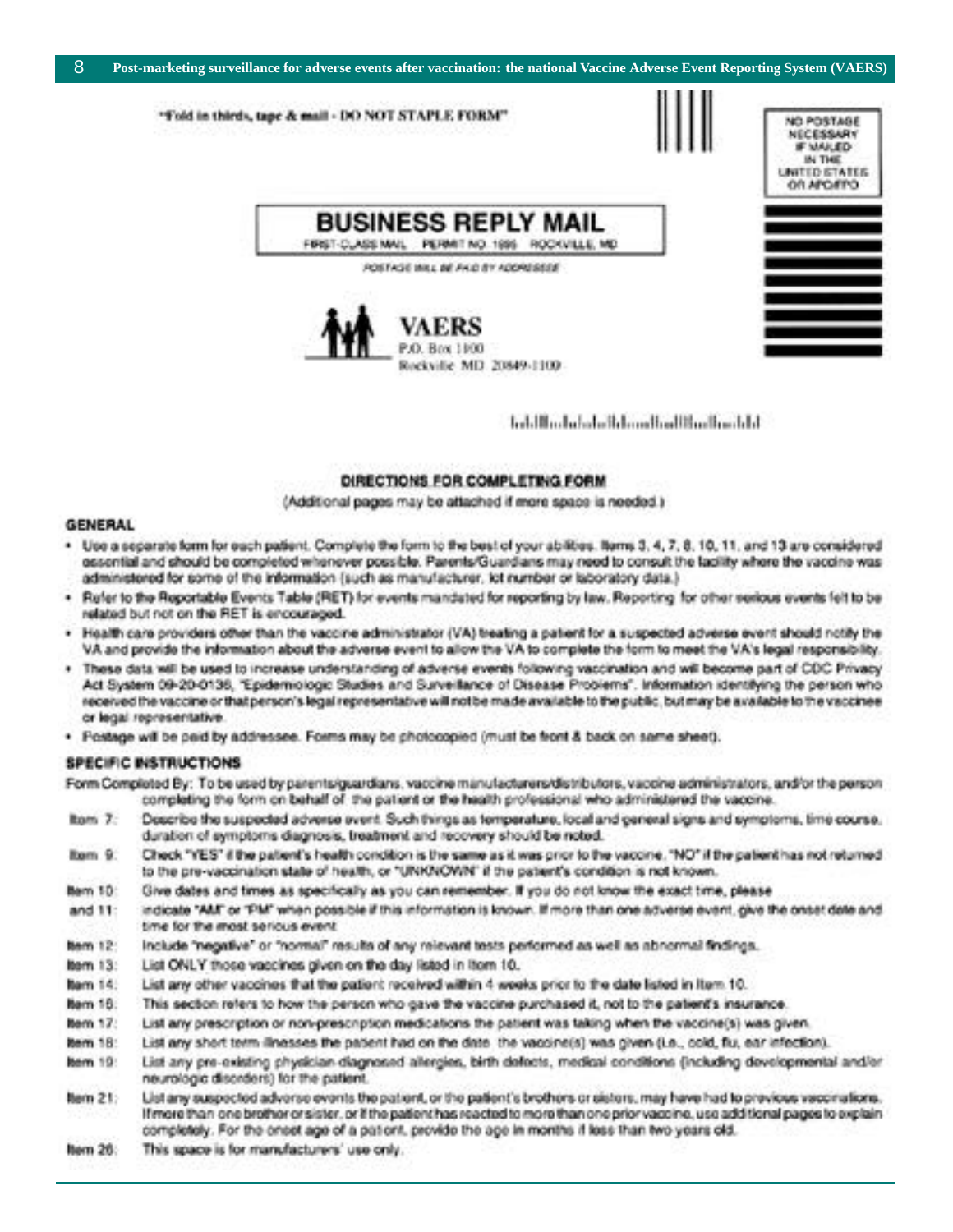

باتيا والمستلسبة اللسيا استبطأ والماسا بباسا الباطر

## DIRECTIONS FOR COMPLETING FORM

(Additional pages may be attached if more space is needed.)

#### **GENERAL**

- Use a separate form for each patient. Complete the form to the best of your abilities. Items 3, 4, 7, 8, 10, 11, and 13 are considered assential and should be completed whenever possible. Parents/Guardians may need to consult the lacility where the vaccine was administered for some of the information (such as manufacturer, lot number or laboratory data.)
- . Refer to the Reportable Events Table (RET) for events mandated for reporting by law. Reporting for other realous events felt to be related but not on the RET is encouraged.
- . Health care providers other than the vaccine administrator (VA) treating a patient for a suspected adverse event should notify the VA and provide the information about the adverse event to allow the VA to complete the form to meet the VA's legal responsibility.
- . These data will be used to increase understanding of adverse events following vaccination and will become part of CDC Privacy Act System 09-20-0136, "Epidemiologic Studies and Surveillance of Disease Problems". Information identifying the person who received the vaccine or that person's legal representative will not be made available to the public, but may be available to the vaccines or legal representative.
- · Fostage will be paid by addressee. Forms may be photocopied (must be front & back on same sheet).

#### SPECIFIC INSTRUCTIONS

Form Completed By: To be used by parents/guardians, vaccine manufacturens/distributors, vaccine administrators, and/or the person completing the form on behalf of the patient or the health professional who administered the vaccine.

- Describe the suspected adverse event. Such things as femperature, local and general signs and symptoms, time course, Rom 7: duration of symptoms diagnosis, treatment and recovery should be noted.
- **Bom 9:** Check "YES" if the patient's health condition is the same as it was prior to the vaccine. "NO" if the patient has not returned to the pre-vaccination state of health, or "UNKNOWN" if the patient's condition is not known.
- Give dates and times as specifically as you can remember. If you do not know the exact time, please Nem 10:
- indicate "AM" or "PM" when possible if this information is known. If more than one adverse event, give the onset date and and 11: time for the most serious event.
- Include "negative" or "normal" results of any relevant tests performed as well as abnormal findings. Bern 121
- **Bem 13:** List ONLY those vaccines given on the day listed in item 10.
- **Barn 14:** List any other vaccines that the patient received within 4 weeks prior to the date listed in Item 10.
- Nem 18. This section refers to how the person who gave the vaccine purchased it, not to the patient's insurance.
- Nem 17: List any prescription or non-prescription medications the patient was taking when the vaccine(s) was given.
- **Bem 18:** List any short term linesses the patient had on the date. the waccine(s) was given (i.e., cold, fix, ear infection).
- List any pre-oxisting physician diagnosed allergies, birth defects, medical conditions (including developmental and/or **Bern 191** neurologic discrease) for the patient.
- Listany suspected adverse events the patient, or the patient's brothers or sisters, may have had to previous veccinations. Nem 21: If more than one brother or sister, or if the patient has reacted to more than one prior vaccine, use additional pages to explain completely. For the criset age of a patient, provide the age in months if less than two years old.
- ltem 26. This space is for manufacturers' use only.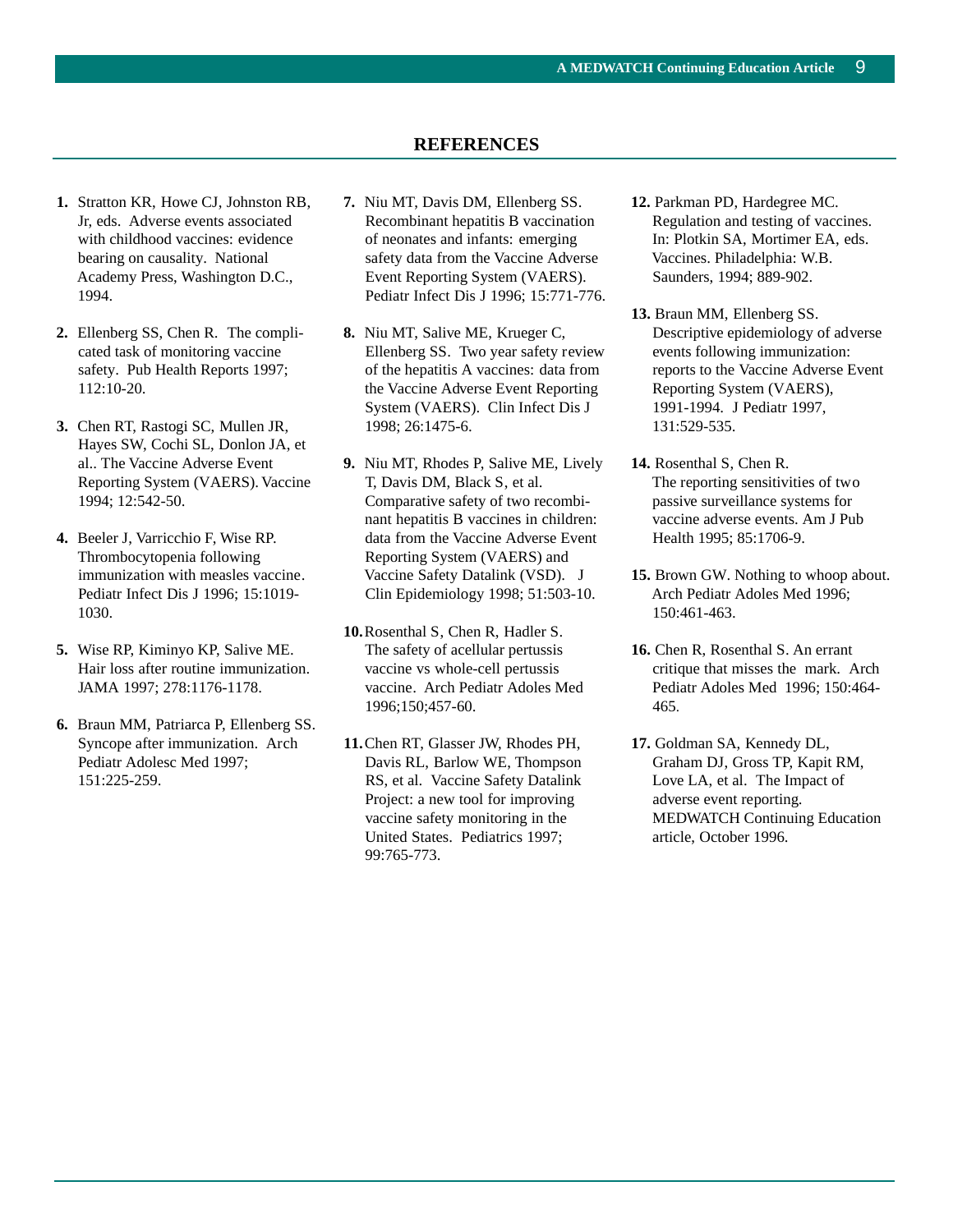## **REFERENCES**

- **1.** Stratton KR, Howe CJ, Johnston RB, Jr, eds. Adverse events associated with childhood vaccines: evidence bearing on causality. National Academy Press, Washington D.C., 1994.
- **2.** Ellenberg SS, Chen R. The complicated task of monitoring vaccine safety. Pub Health Reports 1997; 112:10-20.
- **3.** Chen RT, Rastogi SC, Mullen JR, Hayes SW, Cochi SL, Donlon JA, et al.. The Vaccine Adverse Event Reporting System (VAERS). Vaccine 1994; 12:542-50.
- **4.** Beeler J, Varricchio F, Wise RP. Thrombocytopenia following immunization with measles vaccine. Pediatr Infect Dis J 1996; 15:1019- 1030.
- **5.** Wise RP, Kiminyo KP, Salive ME. Hair loss after routine immunization. JAMA 1997; 278:1176-1178.
- **6.** Braun MM, Patriarca P, Ellenberg SS. Syncope after immunization. Arch Pediatr Adolesc Med 1997; 151:225-259.
- **7.** Niu MT, Davis DM, Ellenberg SS. Recombinant hepatitis B vaccination of neonates and infants: emerging safety data from the Vaccine Adverse Event Reporting System (VAERS). Pediatr Infect Dis J 1996; 15:771-776.
- **8.** Niu MT, Salive ME, Krueger C, Ellenberg SS. Two year safety review of the hepatitis A vaccines: data from the Vaccine Adverse Event Reporting System (VAERS). Clin Infect Dis J 1998; 26:1475-6.
- **9.** Niu MT, Rhodes P, Salive ME, Lively T, Davis DM, Black S, et al. Comparative safety of two recombinant hepatitis B vaccines in children: data from the Vaccine Adverse Event Reporting System (VAERS) and Vaccine Safety Datalink (VSD). J Clin Epidemiology 1998; 51:503-10.
- **10.**Rosenthal S, Chen R, Hadler S. The safety of acellular pertussis vaccine vs whole-cell pertussis vaccine. Arch Pediatr Adoles Med 1996;150;457-60.
- **11.**Chen RT, Glasser JW, Rhodes PH, Davis RL, Barlow WE, Thompson RS, et al. Vaccine Safety Datalink Project: a new tool for improving vaccine safety monitoring in the United States. Pediatrics 1997; 99:765-773.
- **12.** Parkman PD, Hardegree MC. Regulation and testing of vaccines. In: Plotkin SA, Mortimer EA, eds. Vaccines. Philadelphia: W.B. Saunders, 1994; 889-902.
- **13.** Braun MM, Ellenberg SS. Descriptive epidemiology of adverse events following immunization: reports to the Vaccine Adverse Event Reporting System (VAERS), 1991-1994. J Pediatr 1997, 131:529-535.
- **14.** Rosenthal S, Chen R. The reporting sensitivities of two passive surveillance systems for vaccine adverse events. Am J Pub Health 1995; 85:1706-9.
- **15.** Brown GW. Nothing to whoop about. Arch Pediatr Adoles Med 1996; 150:461-463.
- **16.** Chen R, Rosenthal S. An errant critique that misses the mark. Arch Pediatr Adoles Med 1996; 150:464- 465.
- **17.** Goldman SA, Kennedy DL, Graham DJ, Gross TP, Kapit RM, Love LA, et al. The Impact of adverse event reporting. MEDWATCH Continuing Education article, October 1996.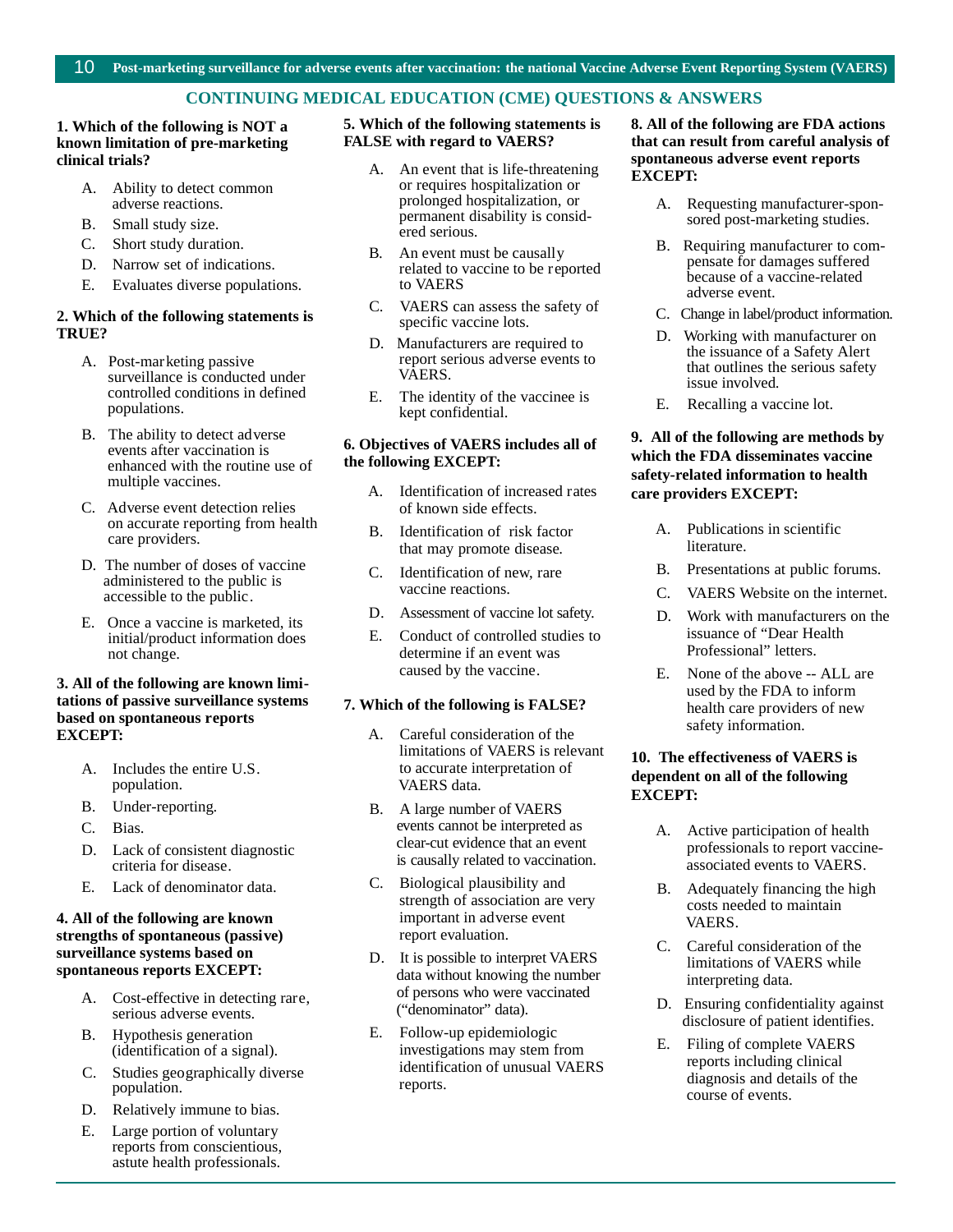#### 10 **Post-marketing surveillance for adverse events after vaccination: the national Vaccine Adverse Event Reporting System (VAERS)**

## **CONTINUING MEDICAL EDUCATION (CME) QUESTIONS & ANSWERS**

#### **1. Which of the following is NOT a known limitation of pre-marketing clinical trials?**

- A. Ability to detect common adverse reactions.
- B. Small study size.
- C. Short study duration.
- D. Narrow set of indications.
- E. Evaluates diverse populations.

#### **2. Which of the following statements is TRUE?**

- A. Post-marketing passive surveillance is conducted under controlled conditions in defined populations.
- B. The ability to detect adverse events after vaccination is enhanced with the routine use of multiple vaccines.
- C. Adverse event detection relies on accurate reporting from health care providers.
- D. The number of doses of vaccine administered to the public is accessible to the public.
- E. Once a vaccine is marketed, its initial/product information does not change.

#### **3. All of the following are known limitations of passive surveillance systems based on spontaneous reports EXCEPT:**

- A. Includes the entire U.S. population.
- B. Under-reporting.
- C. Bias.
- D. Lack of consistent diagnostic criteria for disease.
- E. Lack of denominator data.

#### **4. All of the following are known strengths of spontaneous (passive) surveillance systems based on spontaneous reports EXCEPT:**

- A. Cost-effective in detecting rare, serious adverse events.
- B. Hypothesis generation (identification of a signal).
- C. Studies geographically diverse population.
- D. Relatively immune to bias.
- E. Large portion of voluntary reports from conscientious, astute health professionals.

#### **5. Which of the following statements is FALSE with regard to VAERS?**

- A. An event that is life-threatening or requires hospitalization or prolonged hospitalization, or permanent disability is considered serious.
- B. An event must be causally related to vaccine to be reported to VAERS
- C. VAERS can assess the safety of specific vaccine lots.
- D. Manufacturers are required to report serious adverse events to VAERS.
- E. The identity of the vaccinee is kept confidential.

#### **6. Objectives of VAERS includes all of the following EXCEPT:**

- A. Identification of increased rates of known side effects.
- B. Identification of risk factor that may promote disease.
- C. Identification of new, rare vaccine reactions.
- D. Assessment of vaccine lot safety.
- E. Conduct of controlled studies to determine if an event was caused by the vaccine.

### **7. Which of the following is FALSE?**

- A. Careful consideration of the limitations of VAERS is relevant to accurate interpretation of VAERS data.
- B. A large number of VAERS events cannot be interpreted as clear-cut evidence that an event is causally related to vaccination.
- C. Biological plausibility and strength of association are very important in adverse event report evaluation.
- D. It is possible to interpret VAERS data without knowing the number of persons who were vaccinated ("denominator" data).
- E. Follow-up epidemiologic investigations may stem from identification of unusual VAERS reports.

#### **8. All of the following are FDA actions that can result from careful analysis of spontaneous adverse event reports EXCEPT:**

- A. Requesting manufacturer-sponsored post-marketing studies.
- B. Requiring manufacturer to compensate for damages suffered because of a vaccine-related adverse event.
- C. Change in label/product information.
- D. Working with manufacturer on the issuance of a Safety Alert that outlines the serious safety issue involved.
- E. Recalling a vaccine lot.

## **9. All of the following are methods by which the FDA disseminates vaccine safety-related information to health care providers EXCEPT:**

- A. Publications in scientific literature.
- B. Presentations at public forums.
- C. VAERS Website on the internet.
- D. Work with manufacturers on the issuance of "Dear Health Professional" letters.
- E. None of the above -- ALL are used by the FDA to inform health care providers of new safety information.

## **10. The effectiveness of VAERS is dependent on all of the following EXCEPT:**

- A. Active participation of health professionals to report vaccineassociated events to VAERS.
- B. Adequately financing the high costs needed to maintain VAERS.
- C. Careful consideration of the limitations of VAERS while interpreting data.
- D. Ensuring confidentiality against disclosure of patient identifies.
- E. Filing of complete VAERS reports including clinical diagnosis and details of the course of events.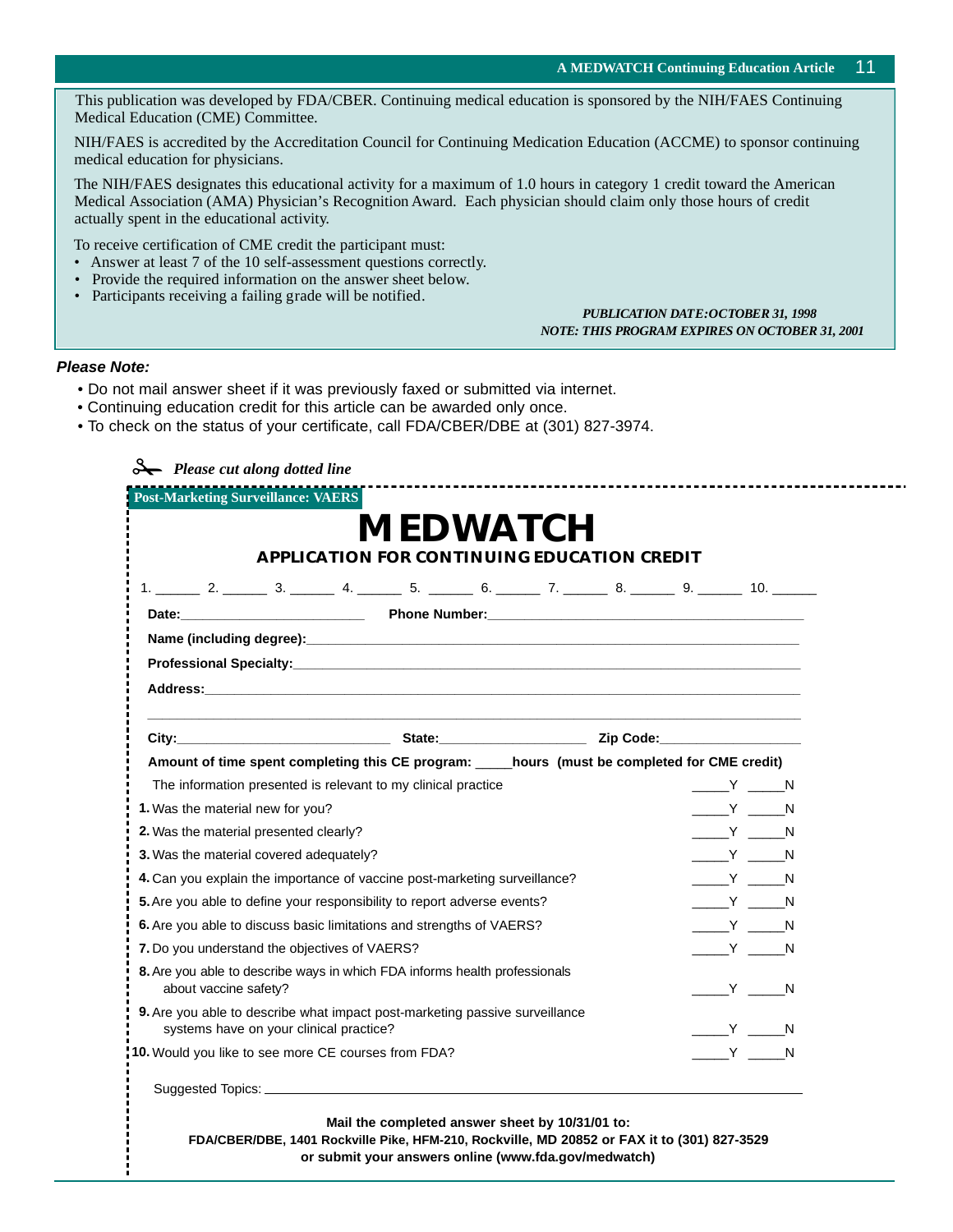This publication was developed by FDA/CBER. Continuing medical education is sponsored by the NIH/FAES Continuing Medical Education (CME) Committee.

NIH/FAES is accredited by the Accreditation Council for Continuing Medication Education (ACCME) to sponsor continuing medical education for physicians.

The NIH/FAES designates this educational activity for a maximum of 1.0 hours in category 1 credit toward the American Medical Association (AMA) Physician's Recognition Award. Each physician should claim only those hours of credit actually spent in the educational activity.

To receive certification of CME credit the participant must:

- Answer at least 7 of the 10 self-assessment questions correctly.
- Provide the required information on the answer sheet below.
- Participants receiving a failing grade will be notified.

#### *P U B L I C ATION DAT E :O C TOBER 31, 1998 NOTE: THIS PROGRAM EXPIRES ON OCTOBER 31, 2001*

-------

#### **Please Note:**

- Do not mail answer sheet if it was previously faxed or submitted via internet.
- Continuing education credit for this article can be awarded only once.
- To check on the status of your certificate, call FDA/CBER/DBE at (301) 827-3974.

| <b>Post-Marketing Surveillance: VAERS</b><br>MEDWATCH<br><b>APPLICATION FOR CONTINUING EDUCATION CREDIT</b> |                                                                                                                                                                                                                                |  |                                                                    |  |  |  |  |
|-------------------------------------------------------------------------------------------------------------|--------------------------------------------------------------------------------------------------------------------------------------------------------------------------------------------------------------------------------|--|--------------------------------------------------------------------|--|--|--|--|
|                                                                                                             | 1. 2. 3. 4. 5. 5. 6. 7. 8. 9. 9. 9. 10. 10.                                                                                                                                                                                    |  |                                                                    |  |  |  |  |
|                                                                                                             |                                                                                                                                                                                                                                |  |                                                                    |  |  |  |  |
|                                                                                                             |                                                                                                                                                                                                                                |  |                                                                    |  |  |  |  |
|                                                                                                             | Professional Specialty: Network and Contract the Contract of the Contract of the Contract of the Contract of the Contract of the Contract of the Contract of the Contract of the Contract of the Contract of the Contract of t |  |                                                                    |  |  |  |  |
|                                                                                                             |                                                                                                                                                                                                                                |  |                                                                    |  |  |  |  |
|                                                                                                             | City: City: City: City: City: City: City: Color: City: Color: City: Color: City: Color: City: Color: City: Color: City: Color: City: Color: City: Color: City: Color: City: Color: City: Color: City: Color: City: City: City: |  |                                                                    |  |  |  |  |
|                                                                                                             | Amount of time spent completing this CE program: _____hours (must be completed for CME credit)                                                                                                                                 |  |                                                                    |  |  |  |  |
| The information presented is relevant to my clinical practice                                               |                                                                                                                                                                                                                                |  | $Y \tN$                                                            |  |  |  |  |
| 1. Was the material new for you?                                                                            |                                                                                                                                                                                                                                |  | $\frac{Y}{1}$ M                                                    |  |  |  |  |
| 2. Was the material presented clearly?                                                                      |                                                                                                                                                                                                                                |  | $Y \tN$                                                            |  |  |  |  |
| 3. Was the material covered adequately?                                                                     |                                                                                                                                                                                                                                |  | $Y \tN$                                                            |  |  |  |  |
| 4. Can you explain the importance of vaccine post-marketing surveillance?                                   |                                                                                                                                                                                                                                |  | $Y \tN$                                                            |  |  |  |  |
| 5. Are you able to define your responsibility to report adverse events?                                     |                                                                                                                                                                                                                                |  | $\begin{array}{ccc}\n&\quad \text{Y} &\quad \text{N}\n\end{array}$ |  |  |  |  |
| 6. Are you able to discuss basic limitations and strengths of VAERS?                                        |                                                                                                                                                                                                                                |  | $Y \tN$                                                            |  |  |  |  |
| 7. Do you understand the objectives of VAERS?                                                               |                                                                                                                                                                                                                                |  | $\begin{array}{ccc}\n&\quad &\quad N\n\end{array}$                 |  |  |  |  |
| about vaccine safety?                                                                                       | 8. Are you able to describe ways in which FDA informs health professionals                                                                                                                                                     |  | $\sqrt{Y}$ N                                                       |  |  |  |  |
| systems have on your clinical practice?                                                                     | 9. Are you able to describe what impact post-marketing passive surveillance                                                                                                                                                    |  | $Y \t N$                                                           |  |  |  |  |
| 10. Would you like to see more CE courses from FDA?                                                         |                                                                                                                                                                                                                                |  | $Y \t N$                                                           |  |  |  |  |
|                                                                                                             | Mail the completed answer sheet by 10/31/01 to:                                                                                                                                                                                |  |                                                                    |  |  |  |  |

**FDA/CBER/DBE, 1401 Rockville Pike, HFM-210, Rockville, MD 20852 or FAX it to (301) 827-3529 or submit your answers online (www.fda.gov/medwatch)**